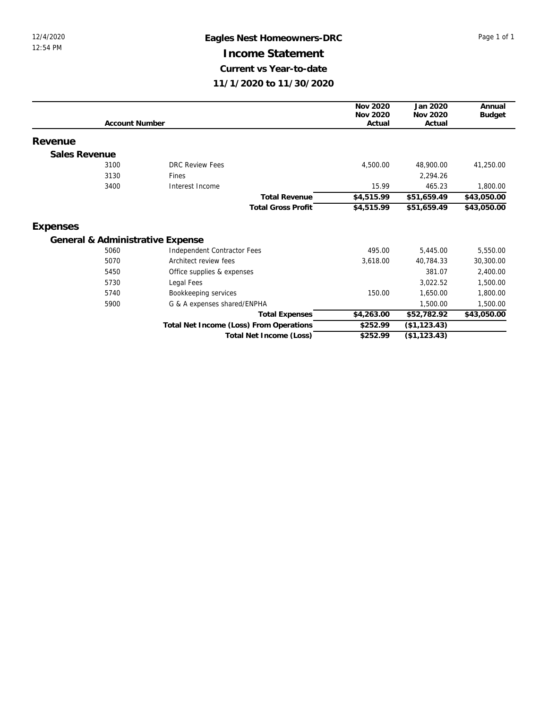## 12/4/2020 **Eagles Nest Homeowners-DRC** Page 1 of 1 **Income Statement Current vs Year-to-date 11/1/2020 to 11/30/2020**

|               |                       |                                         | Nov 2020   | Jan 2020      | Annual      |
|---------------|-----------------------|-----------------------------------------|------------|---------------|-------------|
|               |                       |                                         | Nov 2020   | Nov 2020      | Budget      |
|               | <b>Account Number</b> |                                         | Actual     | Actual        |             |
| Revenue       |                       |                                         |            |               |             |
| Sales Revenue |                       |                                         |            |               |             |
|               | 3100                  | DRC Review Fees                         | 4,500.00   | 48,900.00     | 41,250.00   |
|               | 3130                  | Fines                                   |            | 2,294.26      |             |
|               | 3400                  | Interest Income                         | 15.99      | 465.23        | 1,800.00    |
|               |                       | <b>Total Revenue</b>                    | \$4,515.99 | \$51,659.49   | \$43,050.00 |
|               |                       | <b>Total Gross Profit</b>               | \$4,515.99 | \$51,659.49   | \$43,050.00 |
| Expenses      |                       |                                         |            |               |             |
|               |                       | General & Administrative Expense        |            |               |             |
|               | 5060                  | Independent Contractor Fees             | 495.00     | 5,445.00      | 5,550.00    |
|               | 5070                  | Architect review fees                   | 3,618.00   | 40,784.33     | 30,300.00   |
|               | 5450                  | Office supplies & expenses              |            | 381.07        | 2,400.00    |
|               | 5730                  | Legal Fees                              |            | 3,022.52      | 1,500.00    |
|               | 5740                  | Bookkeeping services                    | 150.00     | 1,650.00      | 1,800.00    |
|               | 5900                  | G & A expenses shared/ENPHA             |            | 1,500.00      | 1,500.00    |
|               |                       | <b>Total Expenses</b>                   | \$4,263.00 | \$52,782.92   | \$43,050.00 |
|               |                       | Total Net Income (Loss) From Operations | \$252.99   | (\$1, 123.43) |             |
|               |                       | Total Net Income (Loss)                 | \$252.99   | (\$1,123.43)  |             |